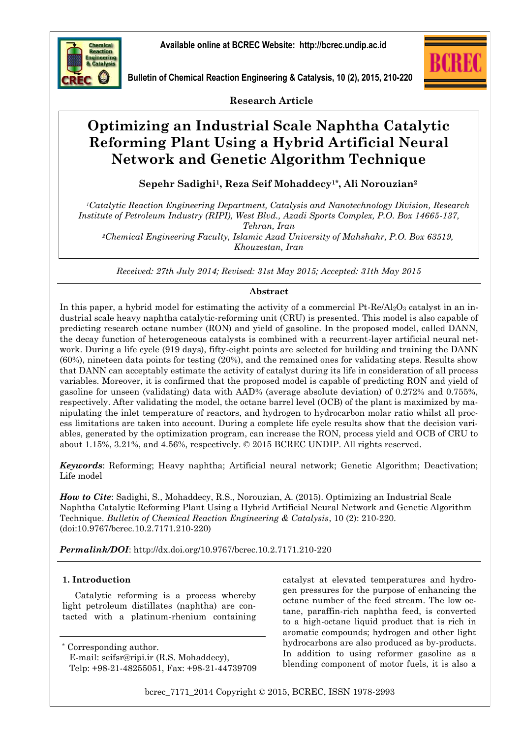

**Bulletin of Chemical Reaction Engineering & Catalysis, 10 (2), 2015, 210-220**



**Research Article**

# **Optimizing an Industrial Scale Naphtha Catalytic Reforming Plant Using a Hybrid Artificial Neural Network and Genetic Algorithm Technique**

**Sepehr Sadighi1, Reza Seif Mohaddecy1\*, Ali Norouzian<sup>2</sup>**

*<sup>1</sup>Catalytic Reaction Engineering Department, Catalysis and Nanotechnology Division, Research Institute of Petroleum Industry (RIPI), West Blvd., Azadi Sports Complex, P.O. Box 14665-137, Tehran, Iran <sup>2</sup>Chemical Engineering Faculty, Islamic Azad University of Mahshahr, P.O. Box 63519,* 

*Khouzestan, Iran* 

*Received: 27th July 2014; Revised: 31st May 2015; Accepted: 31th May 2015*

# **Abstract**

In this paper, a hybrid model for estimating the activity of a commercial Pt-Re/Al<sub>2</sub>O<sub>3</sub> catalyst in an industrial scale heavy naphtha catalytic-reforming unit (CRU) is presented. This model is also capable of predicting research octane number (RON) and yield of gasoline. In the proposed model, called DANN, the decay function of heterogeneous catalysts is combined with a recurrent-layer artificial neural network. During a life cycle (919 days), fifty-eight points are selected for building and training the DANN (60%), nineteen data points for testing (20%), and the remained ones for validating steps. Results show that DANN can acceptably estimate the activity of catalyst during its life in consideration of all process variables. Moreover, it is confirmed that the proposed model is capable of predicting RON and yield of gasoline for unseen (validating) data with AAD% (average absolute deviation) of 0.272% and 0.755%, respectively. After validating the model, the octane barrel level (OCB) of the plant is maximized by manipulating the inlet temperature of reactors, and hydrogen to hydrocarbon molar ratio whilst all process limitations are taken into account. During a complete life cycle results show that the decision variables, generated by the optimization program, can increase the RON, process yield and OCB of CRU to about 1.15%, 3.21%, and 4.56%, respectively. © 2015 BCREC UNDIP. All rights reserved.

*Keywords*: Reforming; Heavy naphtha; Artificial neural network; Genetic Algorithm; Deactivation; Life model

*How to Cite*: Sadighi, S., Mohaddecy, R.S., Norouzian, A. (2015). Optimizing an Industrial Scale Naphtha Catalytic Reforming Plant Using a Hybrid Artificial Neural Network and Genetic Algorithm Technique. *Bulletin of Chemical Reaction Engineering & Catalysis*, 10 (2): 210-220. (doi:10.9767/bcrec.10.2.7171.210-220)

*Permalink/DOI*: http://dx.doi.org/10.9767/bcrec.10.2.7171.210-220

# **1. Introduction**

Catalytic reforming is a process whereby light petroleum distillates (naphtha) are contacted with a platinum-rhenium containing

\* Corresponding author. E-mail: seifsr@ripi.ir (R.S. Mohaddecy), Telp: +98-21-48255051, Fax: +98-21-44739709 catalyst at elevated temperatures and hydrogen pressures for the purpose of enhancing the octane number of the feed stream. The low octane, paraffin-rich naphtha feed, is converted to a high-octane liquid product that is rich in aromatic compounds; hydrogen and other light hydrocarbons are also produced as by-products. In addition to using reformer gasoline as a blending component of motor fuels, it is also a

bcrec\_7171\_2014 Copyright © 2015, BCREC, ISSN 1978-2993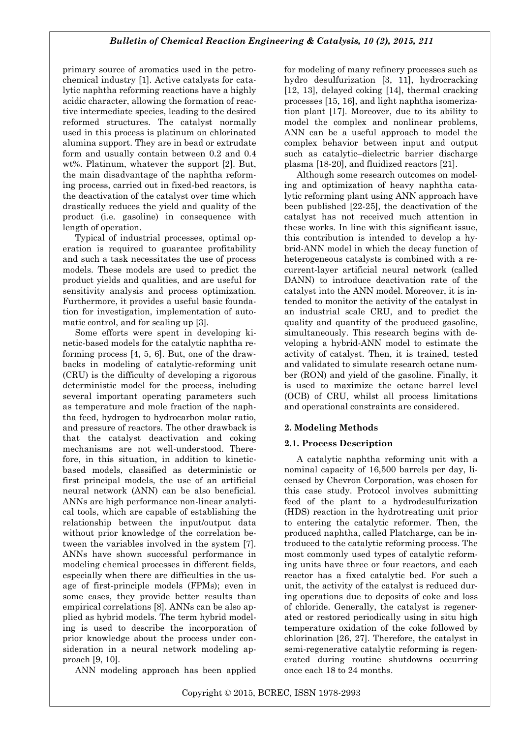primary source of aromatics used in the petrochemical industry [1]. Active catalysts for catalytic naphtha reforming reactions have a highly acidic character, allowing the formation of reactive intermediate species, leading to the desired reformed structures. The catalyst normally used in this process is platinum on chlorinated alumina support. They are in bead or extrudate form and usually contain between 0.2 and 0.4 wt%. Platinum, whatever the support [2]. But, the main disadvantage of the naphtha reforming process, carried out in fixed-bed reactors, is the deactivation of the catalyst over time which drastically reduces the yield and quality of the product (i.e. gasoline) in consequence with length of operation.

Typical of industrial processes, optimal operation is required to guarantee profitability and such a task necessitates the use of process models. These models are used to predict the product yields and qualities, and are useful for sensitivity analysis and process optimization. Furthermore, it provides a useful basic foundation for investigation, implementation of automatic control, and for scaling up [3].

Some efforts were spent in developing kinetic-based models for the catalytic naphtha reforming process [4, 5, 6]. But, one of the drawbacks in modeling of catalytic-reforming unit (CRU) is the difficulty of developing a rigorous deterministic model for the process, including several important operating parameters such as temperature and mole fraction of the naphtha feed, hydrogen to hydrocarbon molar ratio, and pressure of reactors. The other drawback is that the catalyst deactivation and coking mechanisms are not well-understood. Therefore, in this situation, in addition to kineticbased models, classified as deterministic or first principal models, the use of an artificial neural network (ANN) can be also beneficial. ANNs are high performance non-linear analytical tools, which are capable of establishing the relationship between the input/output data without prior knowledge of the correlation between the variables involved in the system [7]. ANNs have shown successful performance in modeling chemical processes in different fields, especially when there are difficulties in the usage of first-principle models (FPMs); even in some cases, they provide better results than empirical correlations [8]. ANNs can be also applied as hybrid models. The term hybrid modeling is used to describe the incorporation of prior knowledge about the process under consideration in a neural network modeling approach [9, 10].

ANN modeling approach has been applied

for modeling of many refinery processes such as hydro desulfurization [3, 11], hydrocracking [12, 13], delayed coking [14], thermal cracking processes [15, 16], and light naphtha isomerization plant [17]. Moreover, due to its ability to model the complex and nonlinear problems, ANN can be a useful approach to model the complex behavior between input and output such as catalytic–dielectric barrier discharge plasma [18-20], and fluidized reactors [21].

Although some research outcomes on modeling and optimization of heavy naphtha catalytic reforming plant using ANN approach have been published [22-25], the deactivation of the catalyst has not received much attention in these works. In line with this significant issue, this contribution is intended to develop a hybrid-ANN model in which the decay function of heterogeneous catalysts is combined with a recurrent-layer artificial neural network (called DANN) to introduce deactivation rate of the catalyst into the ANN model. Moreover, it is intended to monitor the activity of the catalyst in an industrial scale CRU, and to predict the quality and quantity of the produced gasoline, simultaneously. This research begins with developing a hybrid-ANN model to estimate the activity of catalyst. Then, it is trained, tested and validated to simulate research octane number (RON) and yield of the gasoline. Finally, it is used to maximize the octane barrel level (OCB) of CRU, whilst all process limitations and operational constraints are considered.

# **2. Modeling Methods**

## **2.1. Process Description**

A catalytic naphtha reforming unit with a nominal capacity of 16,500 barrels per day, licensed by Chevron Corporation, was chosen for this case study. Protocol involves submitting feed of the plant to a hydrodesulfurization (HDS) reaction in the hydrotreating unit prior to entering the catalytic reformer. Then, the produced naphtha, called Platcharge, can be introduced to the catalytic reforming process. The most commonly used types of catalytic reforming units have three or four reactors, and each reactor has a fixed catalytic bed. For such a unit, the activity of the catalyst is reduced during operations due to deposits of coke and loss of chloride. Generally, the catalyst is regenerated or restored periodically using in situ high temperature oxidation of the coke followed by chlorination [26, 27]. Therefore, the catalyst in semi-regenerative catalytic reforming is regenerated during routine shutdowns occurring once each 18 to 24 months.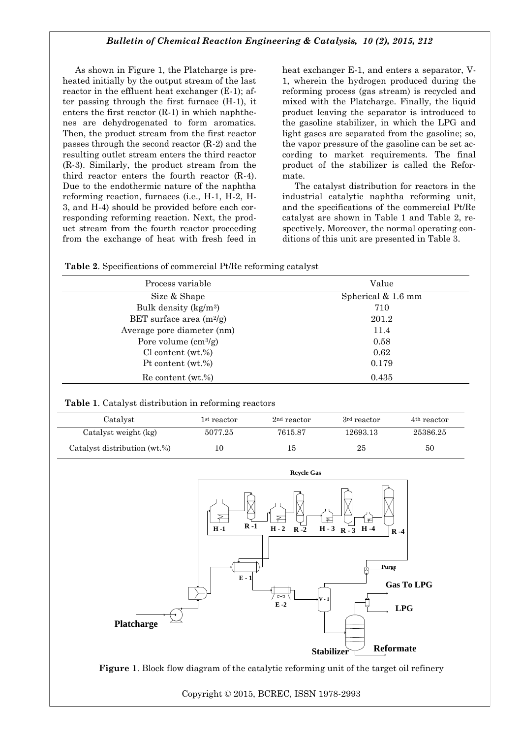# *Bulletin of Chemical Reaction Engineering & Catalysis, 10 (2), 2015, 212*

As shown in Figure 1, the Platcharge is preheated initially by the output stream of the last reactor in the effluent heat exchanger (E-1); after passing through the first furnace (H-1), it enters the first reactor  $(R-1)$  in which naphthenes are dehydrogenated to form aromatics. Then, the product stream from the first reactor passes through the second reactor (R-2) and the resulting outlet stream enters the third reactor (R-3). Similarly, the product stream from the third reactor enters the fourth reactor (R-4). Due to the endothermic nature of the naphtha reforming reaction, furnaces (i.e., H-1, H-2, H-3, and H-4) should be provided before each corresponding reforming reaction. Next, the product stream from the fourth reactor proceeding from the exchange of heat with fresh feed in

heat exchanger E-1, and enters a separator, V-1, wherein the hydrogen produced during the reforming process (gas stream) is recycled and mixed with the Platcharge. Finally, the liquid product leaving the separator is introduced to the gasoline stabilizer, in which the LPG and light gases are separated from the gasoline; so, the vapor pressure of the gasoline can be set according to market requirements. The final product of the stabilizer is called the Reformate.

The catalyst distribution for reactors in the industrial catalytic naphtha reforming unit, and the specifications of the commercial Pt/Re catalyst are shown in Table 1 and Table 2, respectively. Moreover, the normal operating conditions of this unit are presented in Table 3.

**Table 2**. Specifications of commercial Pt/Re reforming catalyst

| Process variable                     | Value              |
|--------------------------------------|--------------------|
| Size & Shape                         | Spherical & 1.6 mm |
| Bulk density (kg/m <sup>3</sup> )    | 710                |
| BET surface area $(m^2/g)$           | 201.2              |
| Average pore diameter (nm)           | 11.4               |
| Pore volume $\text{(cm}^3\text{/g)}$ | 0.58               |
| $Cl$ content (wt.%)                  | 0.62               |
| Pt content (wt.%)                    | 0.179              |
| Re content (wt.%)                    | 0.435              |

## **Table 1**. Catalyst distribution in reforming reactors

| Catalyst                     | 1 <sup>st</sup> reactor | $2nd$ reactor | 3 <sup>rd</sup> reactor | $4th$ reactor |
|------------------------------|-------------------------|---------------|-------------------------|---------------|
| Catalyst weight (kg)         | 5077.25                 | 7615.87       | 12693.13                | 25386.25      |
| Catalyst distribution (wt.%) | 10                      | 15            | 25                      | 50            |



**Figure 1**. Block flow diagram of the catalytic reforming unit of the target oil refinery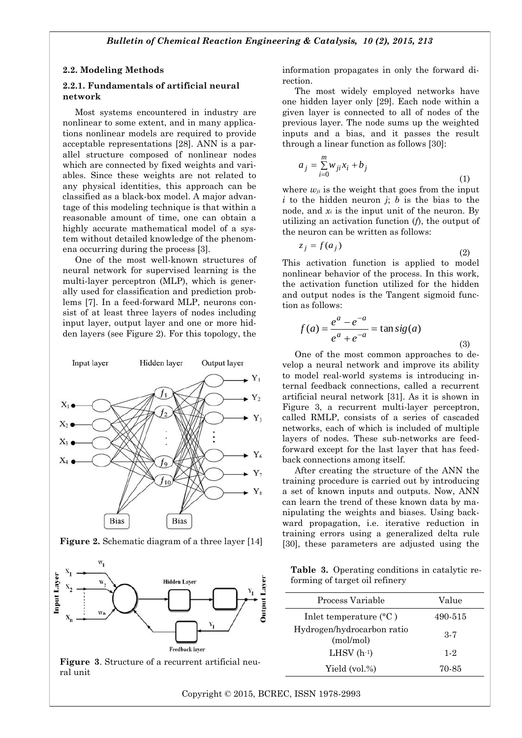#### **2.2. Modeling Methods**

### **2.2.1. Fundamentals of artificial neural network**

Most systems encountered in industry are nonlinear to some extent, and in many applications nonlinear models are required to provide acceptable representations [28]. ANN is a parallel structure composed of nonlinear nodes which are connected by fixed weights and variables. Since these weights are not related to any physical identities, this approach can be classified as a black-box model. A major advantage of this modeling technique is that within a reasonable amount of time, one can obtain a highly accurate mathematical model of a system without detailed knowledge of the phenomena occurring during the process [3].

One of the most well-known structures of neural network for supervised learning is the multi-layer perceptron (MLP), which is generally used for classification and prediction problems [7]. In a feed-forward MLP, neurons consist of at least three layers of nodes including input layer, output layer and one or more hidden layers (see Figure 2). For this topology, the







**Figure 3**. Structure of a recurrent artificial neural unit

information propagates in only the forward direction.

The most widely employed networks have one hidden layer only [29]. Each node within a given layer is connected to all of nodes of the previous layer. The node sums up the weighted inputs and a bias, and it passes the result through a linear function as follows [30]:

$$
a_j = \sum_{i=0}^{m} w_{ji} x_i + b_j
$$
 (1)

where  $w_{ji}$  is the weight that goes from the input  $i$  to the hidden neuron  $j$ ;  $b$  is the bias to the node, and  $x_i$  is the input unit of the neuron. By utilizing an activation function (*f*), the output of the neuron can be written as follows:

$$
z_j = f(a_j) \tag{2}
$$

This activation function is applied to model nonlinear behavior of the process. In this work, the activation function utilized for the hidden and output nodes is the Tangent sigmoid function as follows:

$$
f(a) = \frac{e^{a} - e^{-a}}{e^{a} + e^{-a}} = \tan sig(a)
$$
\n(3)

One of the most common approaches to develop a neural network and improve its ability to model real-world systems is introducing internal feedback connections, called a recurrent artificial neural network [31]. As it is shown in Figure 3, a recurrent multi-layer perceptron, called RMLP, consists of a series of cascaded networks, each of which is included of multiple layers of nodes. These sub-networks are feedforward except for the last layer that has feedback connections among itself.

After creating the structure of the ANN the training procedure is carried out by introducing a set of known inputs and outputs. Now, ANN can learn the trend of these known data by manipulating the weights and biases. Using backward propagation, i.e. iterative reduction in training errors using a generalized delta rule [30], these parameters are adjusted using the

**Table 3.** Operating conditions in catalytic reforming of target oil refinery

| Process Variable                        | Value   |
|-----------------------------------------|---------|
| Inlet temperature $({}^{\circ}C)$       | 490-515 |
| Hydrogen/hydrocarbon ratio<br>(mol/mol) | $3-7$   |
| $LHSV(h^{-1})$                          | $1-2$   |
| Yield (vol.%)                           | 70-85   |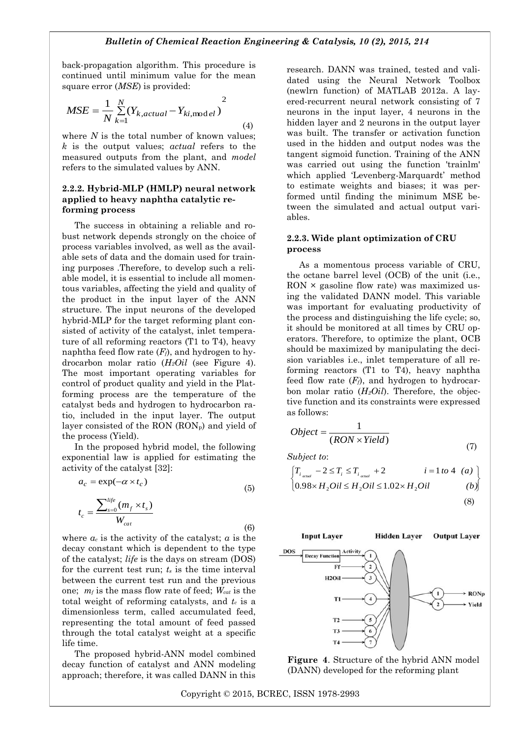back-propagation algorithm. This procedure is continued until minimum value for the mean square error (*MSE*) is provided:

$$
MSE = \frac{1}{N} \sum_{k=1}^{N} (Y_{k,actual} - Y_{ki, \text{mod } el})^{2}
$$
\n(4)

where *N* is the total number of known values: *k* is the output values; *actual* refers to the measured outputs from the plant, and *model* refers to the simulated values by ANN.

## **2.2.2. Hybrid-MLP (HMLP) neural network applied to heavy naphtha catalytic reforming process**

The success in obtaining a reliable and robust network depends strongly on the choice of process variables involved, as well as the available sets of data and the domain used for training purposes .Therefore, to develop such a reliable model, it is essential to include all momentous variables, affecting the yield and quality of the product in the input layer of the ANN structure. The input neurons of the developed hybrid-MLP for the target reforming plant consisted of activity of the catalyst, inlet temperature of all reforming reactors (T1 to T4), heavy naphtha feed flow rate  $(F<sub>f</sub>)$ , and hydrogen to hydrocarbon molar ratio (*H2Oil* (see Figure 4). The most important operating variables for control of product quality and yield in the Platforming process are the temperature of the catalyst beds and hydrogen to hydrocarbon ratio, included in the input layer. The output layer consisted of the RON (RON<sub>p</sub>) and yield of the process (Yield).

In the proposed hybrid model, the following exponential law is applied for estimating the activity of the catalyst [32]:

$$
a_c = \exp(-\alpha \times t_c)
$$
\n
$$
t_c = \frac{\sum_{s=0}^{life} (m_f \times t_s)}{W_{cat}}
$$
\n
$$
(6)
$$

where  $a_c$  is the activity of the catalyst;  $a$  is the decay constant which is dependent to the type of the catalyst; *life* is the days on stream (DOS) for the current test run; *t<sup>s</sup>* is the time interval between the current test run and the previous one; *m<sup>f</sup>* is the mass flow rate of feed; *Wcat* is the total weight of reforming catalysts, and *t<sup>c</sup>* is a dimensionless term, called accumulated feed, representing the total amount of feed passed through the total catalyst weight at a specific life time.

The proposed hybrid-ANN model combined decay function of catalyst and ANN modeling approach; therefore, it was called DANN in this

research. DANN was trained, tested and validated using the Neural Network Toolbox (newlrn function) of MATLAB 2012a. A layered-recurrent neural network consisting of 7 neurons in the input layer, 4 neurons in the hidden layer and 2 neurons in the output layer was built. The transfer or activation function used in the hidden and output nodes was the tangent sigmoid function. Training of the ANN was carried out using the function 'trainlm' which applied 'Levenberg-Marquardt' method to estimate weights and biases; it was performed until finding the minimum MSE between the simulated and actual output variables.

#### **2.2.3. Wide plant optimization of CRU process**

As a momentous process variable of CRU, the octane barrel level (OCB) of the unit (i.e.,  $RON \times$  gasoline flow rate) was maximized using the validated DANN model. This variable was important for evaluating productivity of the process and distinguishing the life cycle; so, it should be monitored at all times by CRU operators. Therefore, to optimize the plant, OCB should be maximized by manipulating the decision variables i.e., inlet temperature of all reforming reactors (T1 to T4), heavy naphtha feed flow rate  $(F_f)$ , and hydrogen to hydrocarbon molar ratio (*H2Oil*). Therefore, the objective function and its constraints were expressed as follows:

$$
Object = \frac{1}{(RON \times Yield)}\tag{7}
$$

*Subject to*:

$$
\begin{cases} T_{i_{\text{actual}}} - 2 \le T_i \le T_{i_{\text{actual}}} + 2 & i = 1 \text{ to } 4 \ (a) \\ 0.98 \times H_2 Oil \le H_2 Oil \le 1.02 \times H_2 Oil & (b) \end{cases}
$$

$$
\begin{array}{c}\n(8)\end{array}
$$



**Figure 4**. Structure of the hybrid ANN model (DANN) developed for the reforming plant

(6)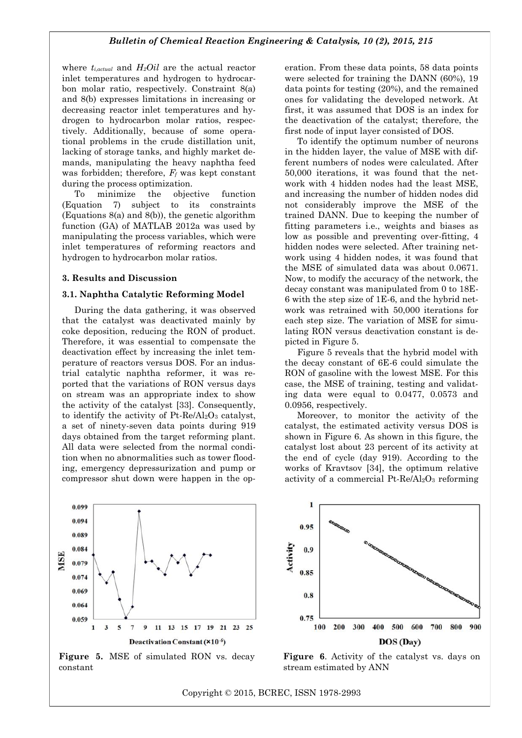where *ti,actual* and *H2Oil* are the actual reactor inlet temperatures and hydrogen to hydrocarbon molar ratio, respectively. Constraint 8(a) and 8(b) expresses limitations in increasing or decreasing reactor inlet temperatures and hydrogen to hydrocarbon molar ratios, respectively. Additionally, because of some operational problems in the crude distillation unit, lacking of storage tanks, and highly market demands, manipulating the heavy naphtha feed was forbidden; therefore, *F<sup>f</sup>* was kept constant during the process optimization.

To minimize the objective function (Equation 7) subject to its constraints (Equations 8(a) and 8(b)), the genetic algorithm function (GA) of MATLAB 2012a was used by manipulating the process variables, which were inlet temperatures of reforming reactors and hydrogen to hydrocarbon molar ratios.

### **3. Results and Discussion**

#### **3.1. Naphtha Catalytic Reforming Model**

During the data gathering, it was observed that the catalyst was deactivated mainly by coke deposition, reducing the RON of product. Therefore, it was essential to compensate the deactivation effect by increasing the inlet temperature of reactors versus DOS. For an industrial catalytic naphtha reformer, it was reported that the variations of RON versus days on stream was an appropriate index to show the activity of the catalyst [33]. Consequently, to identify the activity of  $Pt$ -Re/Al<sub>2</sub>O<sub>3</sub> catalyst, a set of ninety-seven data points during 919 days obtained from the target reforming plant. All data were selected from the normal condition when no abnormalities such as tower flooding, emergency depressurization and pump or compressor shut down were happen in the op-

eration. From these data points, 58 data points were selected for training the DANN (60%), 19 data points for testing (20%), and the remained ones for validating the developed network. At first, it was assumed that DOS is an index for the deactivation of the catalyst; therefore, the first node of input layer consisted of DOS.

To identify the optimum number of neurons in the hidden layer, the value of MSE with different numbers of nodes were calculated. After 50,000 iterations, it was found that the network with 4 hidden nodes had the least MSE, and increasing the number of hidden nodes did not considerably improve the MSE of the trained DANN. Due to keeping the number of fitting parameters i.e., weights and biases as low as possible and preventing over-fitting, 4 hidden nodes were selected. After training network using 4 hidden nodes, it was found that the MSE of simulated data was about 0.0671. Now, to modify the accuracy of the network, the decay constant was manipulated from 0 to 18E-6 with the step size of 1E-6, and the hybrid network was retrained with 50,000 iterations for each step size. The variation of MSE for simulating RON versus deactivation constant is depicted in Figure 5.

Figure 5 reveals that the hybrid model with the decay constant of 6E-6 could simulate the RON of gasoline with the lowest MSE. For this case, the MSE of training, testing and validating data were equal to 0.0477, 0.0573 and 0.0956, respectively.

Moreover, to monitor the activity of the catalyst, the estimated activity versus DOS is shown in Figure 6. As shown in this figure, the catalyst lost about 23 percent of its activity at the end of cycle (day 919). According to the works of Kravtsov [34], the optimum relative activity of a commercial Pt- $Re/Al_2O_3$  reforming



**Figure 5.** MSE of simulated RON vs. decay constant



**Figure 6**. Activity of the catalyst vs. days on stream estimated by ANN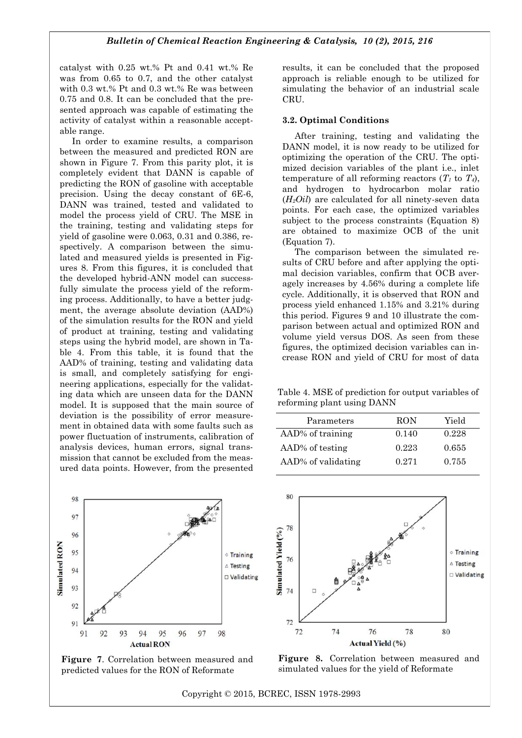catalyst with 0.25 wt.% Pt and 0.41 wt.% Re was from 0.65 to 0.7, and the other catalyst with 0.3 wt.% Pt and 0.3 wt.% Re was between 0.75 and 0.8. It can be concluded that the presented approach was capable of estimating the activity of catalyst within a reasonable acceptable range.

In order to examine results, a comparison between the measured and predicted RON are shown in Figure 7. From this parity plot, it is completely evident that DANN is capable of predicting the RON of gasoline with acceptable precision. Using the decay constant of 6E-6, DANN was trained, tested and validated to model the process yield of CRU. The MSE in the training, testing and validating steps for yield of gasoline were 0.063, 0.31 and 0.386, respectively. A comparison between the simulated and measured yields is presented in Figures 8. From this figures, it is concluded that the developed hybrid-ANN model can successfully simulate the process yield of the reforming process. Additionally, to have a better judgment, the average absolute deviation (AAD%) of the simulation results for the RON and yield of product at training, testing and validating steps using the hybrid model, are shown in Table 4. From this table, it is found that the AAD% of training, testing and validating data is small, and completely satisfying for engineering applications, especially for the validating data which are unseen data for the DANN model. It is supposed that the main source of deviation is the possibility of error measurement in obtained data with some faults such as power fluctuation of instruments, calibration of analysis devices, human errors, signal transmission that cannot be excluded from the measured data points. However, from the presented



**Figure 7**. Correlation between measured and predicted values for the RON of Reformate

results, it can be concluded that the proposed approach is reliable enough to be utilized for simulating the behavior of an industrial scale CRU.

## **3.2. Optimal Conditions**

After training, testing and validating the DANN model, it is now ready to be utilized for optimizing the operation of the CRU. The optimized decision variables of the plant i.e., inlet temperature of all reforming reactors  $(T_1$  to  $T_4$ ), and hydrogen to hydrocarbon molar ratio (*H2Oil*) are calculated for all ninety-seven data points. For each case, the optimized variables subject to the process constraints (Equation 8) are obtained to maximize OCB of the unit (Equation 7).

The comparison between the simulated results of CRU before and after applying the optimal decision variables, confirm that OCB averagely increases by 4.56% during a complete life cycle. Additionally, it is observed that RON and process yield enhanced 1.15% and 3.21% during this period. Figures 9 and 10 illustrate the comparison between actual and optimized RON and volume yield versus DOS. As seen from these figures, the optimized decision variables can increase RON and yield of CRU for most of data

Table 4. MSE of prediction for output variables of reforming plant using DANN

| Parameters         | <b>RON</b> | Yield |
|--------------------|------------|-------|
| AAD% of training   | 0.140      | 0.228 |
| AAD% of testing    | 0.223      | 0.655 |
| AAD% of validating | 0.271      | 0.755 |



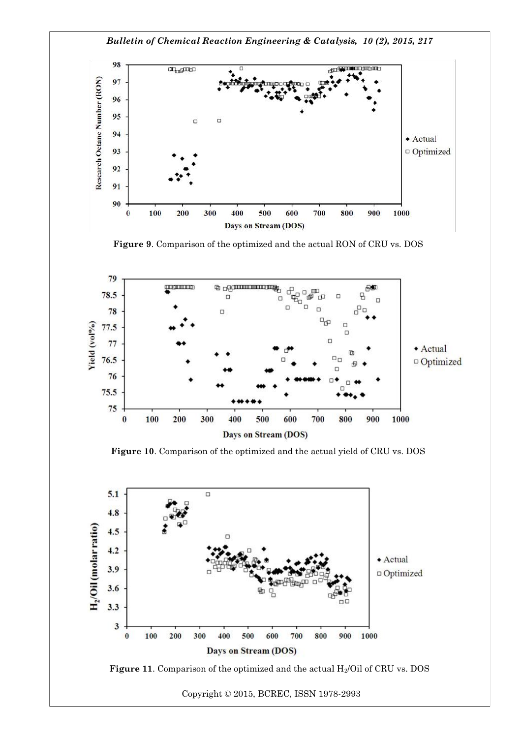

**Figure 9**. Comparison of the optimized and the actual RON of CRU vs. DOS



**Figure 10**. Comparison of the optimized and the actual yield of CRU vs. DOS



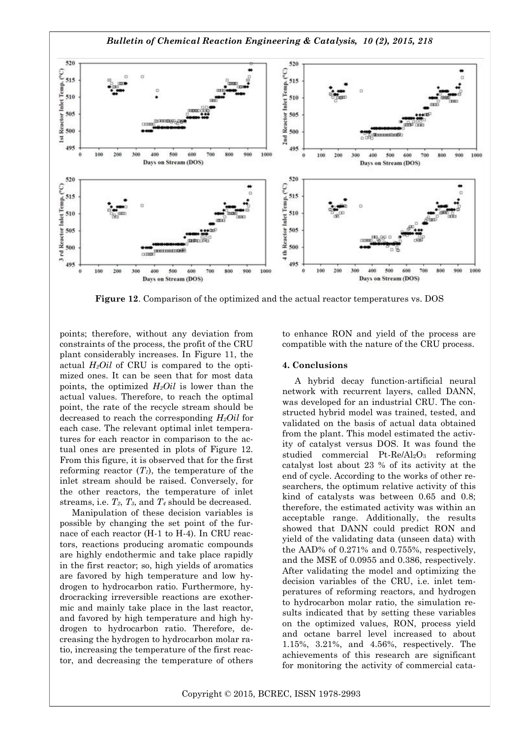

**Figure 12**. Comparison of the optimized and the actual reactor temperatures vs. DOS

points; therefore, without any deviation from constraints of the process, the profit of the CRU plant considerably increases. In Figure 11, the actual *H2Oil* of CRU is compared to the optimized ones. It can be seen that for most data points, the optimized *H2Oil* is lower than the actual values. Therefore, to reach the optimal point, the rate of the recycle stream should be decreased to reach the corresponding *H2Oil* for each case. The relevant optimal inlet temperatures for each reactor in comparison to the actual ones are presented in plots of Figure 12. From this figure, it is observed that for the first reforming reactor  $(T<sub>1</sub>)$ , the temperature of the inlet stream should be raised. Conversely, for the other reactors, the temperature of inlet streams, i.e. *T2*, *T3*, and *T<sup>4</sup>* should be decreased.

Manipulation of these decision variables is possible by changing the set point of the furnace of each reactor (H-1 to H-4). In CRU reactors, reactions producing aromatic compounds are highly endothermic and take place rapidly in the first reactor; so, high yields of aromatics are favored by high temperature and low hydrogen to hydrocarbon ratio. Furthermore, hydrocracking irreversible reactions are exothermic and mainly take place in the last reactor, and favored by high temperature and high hydrogen to hydrocarbon ratio. Therefore, decreasing the hydrogen to hydrocarbon molar ratio, increasing the temperature of the first reactor, and decreasing the temperature of others to enhance RON and yield of the process are compatible with the nature of the CRU process.

#### **4. Conclusions**

A hybrid decay function-artificial neural network with recurrent layers, called DANN, was developed for an industrial CRU. The constructed hybrid model was trained, tested, and validated on the basis of actual data obtained from the plant. This model estimated the activity of catalyst versus DOS. It was found the studied commercial  $Pt-Re/Al<sub>2</sub>O<sub>3</sub>$  reforming catalyst lost about 23 % of its activity at the end of cycle. According to the works of other researchers, the optimum relative activity of this kind of catalysts was between 0.65 and 0.8; therefore, the estimated activity was within an acceptable range. Additionally, the results showed that DANN could predict RON and yield of the validating data (unseen data) with the AAD% of 0.271% and 0.755%, respectively, and the MSE of 0.0955 and 0.386, respectively. After validating the model and optimizing the decision variables of the CRU, i.e. inlet temperatures of reforming reactors, and hydrogen to hydrocarbon molar ratio, the simulation results indicated that by setting these variables on the optimized values, RON, process yield and octane barrel level increased to about 1.15%, 3.21%, and 4.56%, respectively. The achievements of this research are significant for monitoring the activity of commercial cata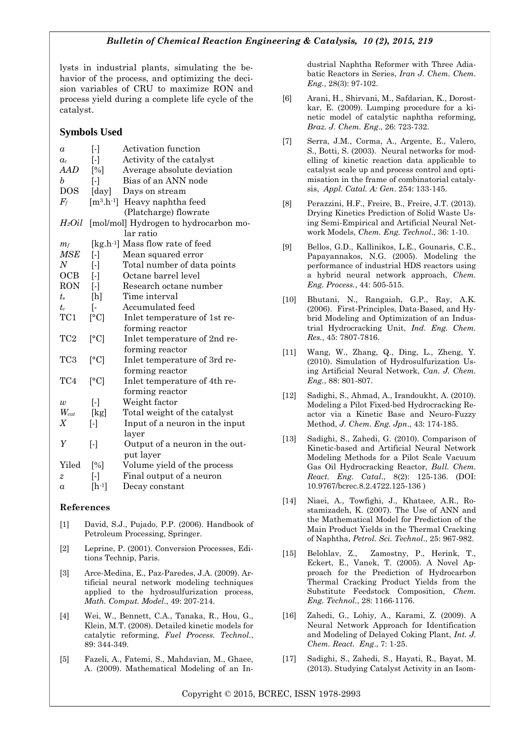lysts in industrial plants, simulating the behavior of the process, and optimizing the decision variables of CRU to maximize RON and process yield during a complete life cycle of the catalyst.

# **Symbols Used**

| $\alpha$                       | $\lceil - \rceil$     | Activation function                                   |
|--------------------------------|-----------------------|-------------------------------------------------------|
| $a_c$                          | $\lceil - \rceil$     | Activity of the catalyst                              |
| AAD                            | [%]                   | Average absolute deviation                            |
| $b^-$                          | $[\cdot]$             | Bias of an ANN node                                   |
| <b>DOS</b>                     | [day]                 | Days on stream                                        |
| $F_f$                          |                       | [m <sup>3</sup> .h <sup>-1</sup> ] Heavy naphtha feed |
|                                |                       | (Platcharge) flowrate                                 |
| $H_2Oil$                       |                       | [mol/mol] Hydrogen to hydrocarbon mo-                 |
|                                |                       | lar ratio                                             |
| $m_f$                          |                       | [kg.h <sup>-1</sup> ] Mass flow rate of feed          |
| MSE                            | $\lceil - \rceil$     | Mean squared error                                    |
| $N_{\rm \scriptscriptstyle I}$ | $\lceil - \rceil$     | Total number of data points                           |
| OCB                            | $\lceil - \rceil$     | Octane barrel level                                   |
| <b>RON</b>                     | $[\cdot]$             | Research octane number                                |
| $t_{s}$                        | [h]                   | Time interval                                         |
| $t_c$                          | Ŀ                     | Accumulated feed                                      |
| TC1                            | [°C]                  | Inlet temperature of 1st re-                          |
|                                |                       | forming reactor                                       |
| TC2                            | $\lceil$ °C]          | Inlet temperature of 2nd re-                          |
|                                |                       | forming reactor                                       |
| TC <sub>3</sub>                | $\lceil$ °C]          | Inlet temperature of 3rd re-                          |
|                                |                       | forming reactor                                       |
| TC4                            | [°C]                  | Inlet temperature of 4th re-                          |
|                                |                       | forming reactor                                       |
| $\overline{w}$                 | $\lceil \cdot \rceil$ | Weight factor                                         |
| $W_{cat}$                      | [kg]                  | Total weight of the catalyst                          |
| X                              | $\lceil \cdot \rceil$ | Input of a neuron in the input                        |
|                                |                       | layer                                                 |
| Y                              | $\lceil - \rceil$     | Output of a neuron in the out-                        |
|                                |                       | put layer                                             |
| Yiled                          | [%]                   | Volume yield of the process                           |
| $\boldsymbol{z}$               | $\lceil - \rceil$     | Final output of a neuron                              |
| $\alpha$                       | $[h^{-1}]$            | Decay constant                                        |
|                                |                       |                                                       |

## **References**

- [1] David, S.J., Pujado, P.P. (2006). Handbook of Petroleum Processing, Springer.
- [2] Leprine, P. (2001). Conversion Processes, Editions Technip, Paris.
- [3] Arce-Medina, E., Paz-Paredes, J.A. (2009). Artificial neural network modeling techniques applied to the hydrosulfurization process, *Math. Comput. Model*., 49: 207-214.
- [4] Wei, W., Bennett, C.A., Tanaka, R., Hou, G., Klein, M.T. (2008). Detailed kinetic models for catalytic reforming, *Fuel Process. Technol.*, 89: 344-349.
- [5] Fazeli, A., Fatemi, S., Mahdavian, M., Ghaee, A. (2009). Mathematical Modeling of an In-

dustrial Naphtha Reformer with Three Adiabatic Reactors in Series, *Iran J. Chem. Chem. Eng.*, 28(3): 97-102.

- [6] Arani, H., Shirvani, M., Safdarian, K., Dorostkar, E. (2009). Lumping procedure for a kinetic model of catalytic naphtha reforming, *Braz. J. Chem. Eng*., 26: 723-732.
- [7] Serra, J.M., Corma, A., Argente, E., Valero, S., Botti, S. (2003). Neural networks for modelling of kinetic reaction data applicable to catalyst scale up and process control and optimisation in the frame of combinatorial catalysis, *Appl. Catal. A: Gen*. 254: 133-145.
- [8] Perazzini, H.F., Freire, B., Freire, J.T. (2013). Drying Kinetics Prediction of Solid Waste Using Semi-Empirical and Artificial Neural Network Models, *Chem. Eng. Technol*., 36: 1-10.
- [9] Bellos, G.D., Kallinikos, L.E., Gounaris, C.E., Papayannakos, N.G. (2005). Modeling the performance of industrial HDS reactors using a hybrid neural network approach, *Chem. Eng. Process.*, 44: 505-515.
- [10] Bhutani, N., Rangaiah, G.P., Ray, A.K. (2006). First-Principles, Data-Based, and Hybrid Modeling and Optimization of an Industrial Hydrocracking Unit, *Ind. Eng. Chem. Res.*, 45: 7807-7816.
- [11] Wang, W., Zhang, Q., Ding, L., Zheng, Y. (2010). Simulation of Hydrosulfurization Using Artificial Neural Network, *Can. J. Chem. Eng.*, 88: 801-807.
- [12] Sadighi, S., Ahmad, A., Irandoukht, A. (2010). Modeling a Pilot Fixed-bed Hydrocracking Reactor via a Kinetic Base and Neuro-Fuzzy Method, *J. Chem. Eng. Jpn*., 43: 174-185.
- [13] Sadighi, S., Zahedi, G. (2010). Comparison of Kinetic-based and Artificial Neural Network Modeling Methods for a Pilot Scale Vacuum Gas Oil Hydrocracking Reactor, *Bull. Chem. React. Eng. Catal*., 8(2): 125-136. (DOI: 10.9767/bcrec.8.2.4722.125-136 )
- [14] Niaei, A., Towfighi, J., Khataee, A.R., Rostamizadeh, K. (2007). The Use of ANN and the Mathematical Model for Prediction of the Main Product Yields in the Thermal Cracking of Naphtha, *Petrol. Sci. Technol*., 25: 967-982.
- [15] Belohlav, Z., Zamostny, P., Herink, T., Eckert, E., Vanek, T. (2005). A Novel Approach for the Prediction of Hydrocarbon Thermal Cracking Product Yields from the Substitute Feedstock Composition, *Chem. Eng. Technol.*, 28: 1166-1176.
- [16] Zahedi, G., Lohiy, A., Karami, Z. (2009). A Neural Network Approach for Identification and Modeling of Delayed Coking Plant, *Int. J. Chem. React. Eng*., 7: 1-25.
- [17] Sadighi, S., Zahedi, S., Hayati, R., Bayat, M. (2013). Studying Catalyst Activity in an Isom-